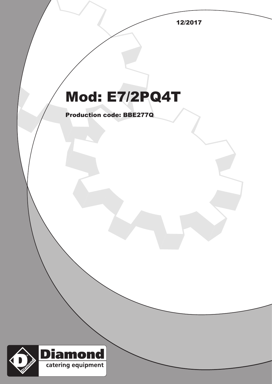12/2017

## Mod: E7/2PQ4T

Production code: BBE277Q